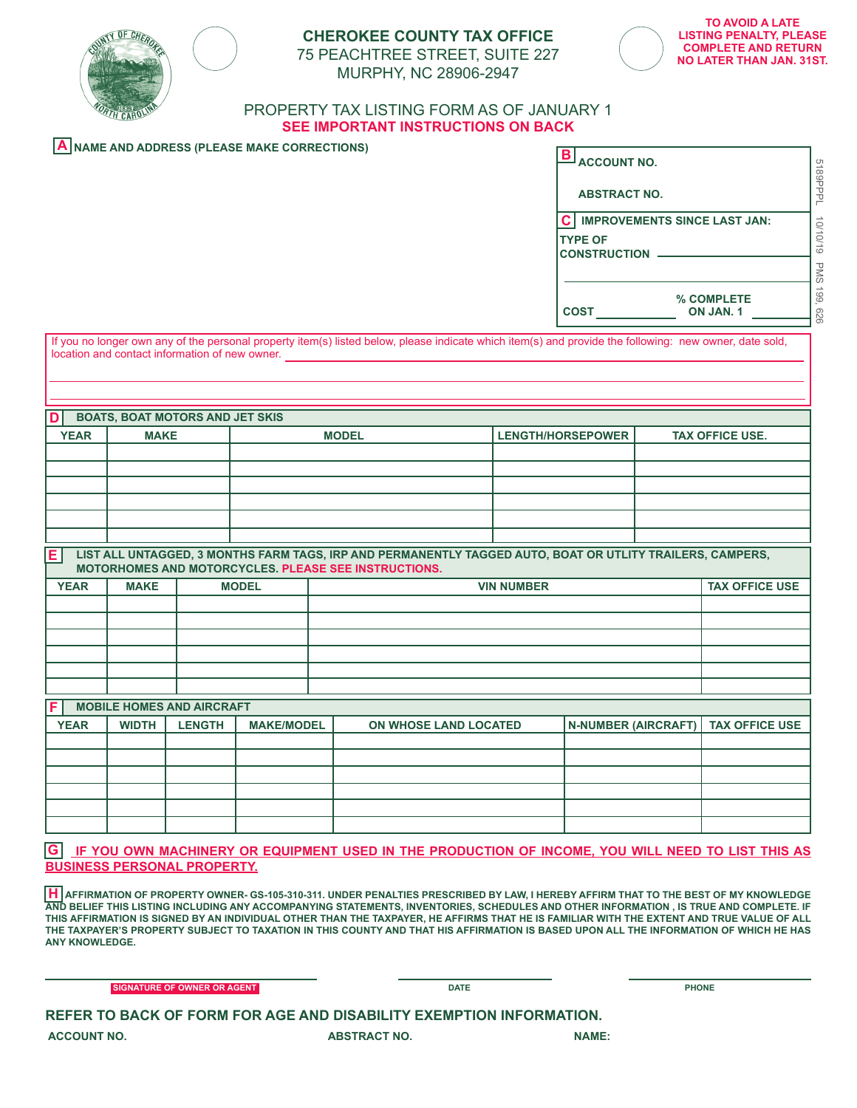

# **CHEROKEE COUNTY TAX OFFICE** 75 PEACHTREE STREET, SUITE 227



MURPHY, NC 28906-2947

# PROPERTY TAX LISTING FORM AS OF JANUARY 1 **SEE IMPORTANT INSTRUCTIONS ON BACK**

# **A NAME AND ADDRESS (PLEASE MAKE CORRECTIONS)**

| $\overline{\mathbf{B}}$ ACCOUNT NO.                                                          |                                |            |
|----------------------------------------------------------------------------------------------|--------------------------------|------------|
| <b>ABSTRACT NO.</b>                                                                          |                                | 5189PPP    |
| $\mathbf{C}$<br><b>IMPROVEMENTS SINCE LAST JAN:</b><br><b>TYPE OF</b><br><b>CONSTRUCTION</b> |                                | 10/10/19   |
|                                                                                              |                                | PMS        |
| <b>COST</b>                                                                                  | % COMPLETE<br><b>ON JAN. 1</b> | 661<br>929 |

If you no longer own any of the personal property item(s) listed below, please indicate which item(s) and provide the following: new owner, date sold, location and contact information of new owner.

| n.          | <b>BOATS, BOAT MOTORS AND JET SKIS</b> |              |                   |                        |  |  |  |
|-------------|----------------------------------------|--------------|-------------------|------------------------|--|--|--|
| <b>YEAR</b> | <b>MAKE</b>                            | <b>MODEL</b> | LENGTH/HORSEPOWER | <b>TAX OFFICE USE.</b> |  |  |  |
|             |                                        |              |                   |                        |  |  |  |
|             |                                        |              |                   |                        |  |  |  |
|             |                                        |              |                   |                        |  |  |  |
|             |                                        |              |                   |                        |  |  |  |
|             |                                        |              |                   |                        |  |  |  |

| E   LIST ALL UNTAGGED, 3 MONTHS FARM TAGS, IRP AND PERMANENTLY TAGGED AUTO, BOAT OR UTLITY TRAILERS, CAMPERS, |
|---------------------------------------------------------------------------------------------------------------|
| MOTORHOMES AND MOTORCYCLES. PLEASE SEE INSTRUCTIONS.                                                          |

| <b>YEAR</b> | <b>MAKE</b> | <b>MODEL</b> | <b>VIN NUMBER</b> | <b>TAX OFFICE USE</b> |
|-------------|-------------|--------------|-------------------|-----------------------|
|             |             |              |                   |                       |
|             |             |              |                   |                       |
|             |             |              |                   |                       |
|             |             |              |                   |                       |
|             |             |              |                   |                       |
|             |             |              |                   |                       |

| IF. | <b>MOBILE HOMES AND AIRCRAFT</b> |              |               |                   |                              |                                      |  |
|-----|----------------------------------|--------------|---------------|-------------------|------------------------------|--------------------------------------|--|
|     | <b>YEAR</b>                      | <b>WIDTH</b> | <b>LENGTH</b> | <b>MAKE/MODEL</b> | <b>ON WHOSE LAND LOCATED</b> | N-NUMBER (AIRCRAFT)   TAX OFFICE USE |  |
|     |                                  |              |               |                   |                              |                                      |  |
|     |                                  |              |               |                   |                              |                                      |  |
|     |                                  |              |               |                   |                              |                                      |  |
|     |                                  |              |               |                   |                              |                                      |  |
|     |                                  |              |               |                   |                              |                                      |  |
|     |                                  |              |               |                   |                              |                                      |  |

**G IF YOU OWN MACHINERY OR EQUIPMENT USED IN THE PRODUCTION OF INCOME, YOU WILL NEED TO LIST THIS AS BUSINESS PERSONAL PROPERTY.**

**H AFFIRMATION OF PROPERTY OWNER- GS-105-310-311. UNDER PENALTIES PRESCRIBED BY LAW, I HEREBY AFFIRM THAT TO THE BEST OF MY KNOWLEDGE AND BELIEF THIS LISTING INCLUDING ANY ACCOMPANYING STATEMENTS, INVENTORIES, SCHEDULES AND OTHER INFORMATION , IS TRUE AND COMPLETE. IF THIS AFFIRMATION IS SIGNED BY AN INDIVIDUAL OTHER THAN THE TAXPAYER, HE AFFIRMS THAT HE IS FAMILIAR WITH THE EXTENT AND TRUE VALUE OF ALL THE TAXPAYER'S PROPERTY SUBJECT TO TAXATION IN THIS COUNTY AND THAT HIS AFFIRMATION IS BASED UPON ALL THE INFORMATION OF WHICH HE HAS ANY KNOWLEDGE.**

**SIGNATURE OF OWNER OR AGENT DATE AND A SIGNATURE OF OWNER OR AGENT AND A SIGNATURE OF OWNER OR AGENT** 

| REFER TO BACK OF FORM FOR AGE AND DISABILITY EXEMPTION INFORMATION. |                     |              |
|---------------------------------------------------------------------|---------------------|--------------|
| <b>ACCOUNT NO.</b>                                                  | <b>ABSTRACT NO.</b> | <b>NAME:</b> |